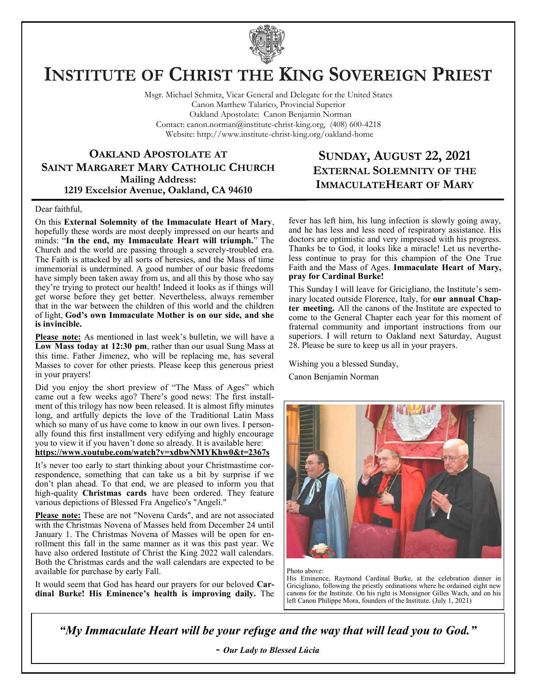

# **INSTITUTE OF CHRIST THE KING SOVEREIGN PRIEST**

Msgr. Michael Schmitz, Vicar General and Delegate for the United States Canon Matthew Talarico, Provincial Superior Oakland Apostolate: Canon Benjamin Norman Contact: canon.norman@institute-christ-king.org, (408) 600-4218 Website: http://www.institute-christ-king.org/oakland-home

**OAKLAND APOSTOLATE AT SAINT MARGARET MARY CATHOLIC CHURCH Mailing Address: 1219 Excelsior Avenue, Oakland, CA 94610**

## **SUNDAY, AUGUST 22, 2021 EXTERNAL SOLEMNITY OF THE IMMACULATEHEART OF MARY**

#### Dear faithful,

On this **External Solemnity of the Immaculate Heart of Mary**, hopefully these words are most deeply impressed on our hearts and minds: "**In the end, my Immaculate Heart will triumph.**" The Church and the world are passing through a severely-troubled era. The Faith is attacked by all sorts of heresies, and the Mass of time immemorial is undermined. A good number of our basic freedoms have simply been taken away from us, and all this by those who say they're trying to protect our health! Indeed it looks as if things will get worse before they get better. Nevertheless, always remember that in the war between the children of this world and the children of light, **God's own Immaculate Mother is on our side, and she is invincible.** 

**Please note:** As mentioned in last week's bulletin, we will have a **Low Mass today at 12:30 pm**, rather than our usual Sung Mass at this time. Father Jimenez, who will be replacing me, has several Masses to cover for other priests. Please keep this generous priest in your prayers!

Did you enjoy the short preview of "The Mass of Ages" which came out a few weeks ago? There's good news: The first installment of this trilogy has now been released. It is almost fifty minutes long, and artfully depicts the love of the Traditional Latin Mass which so many of us have come to know in our own lives. I personally found this first installment very edifying and highly encourage you to view it if you haven't done so already. It is available here: **<https://www.youtube.com/watch?v=xdbwNMYKhw0&t=2367s>**

It's never too early to start thinking about your Christmastime correspondence, something that can take us a bit by surprise if we don't plan ahead. To that end, we are pleased to inform you that high-quality **Christmas cards** have been ordered. They feature various depictions of Blessed Fra Angelico's "Angeli."

**Please note:** These are not "Novena Cards", and are not associated with the Christmas Novena of Masses held from December 24 until January 1. The Christmas Novena of Masses will be open for enrollment this fall in the same manner as it was this past year. We have also ordered Institute of Christ the King 2022 wall calendars. Both the Christmas cards and the wall calendars are expected to be available for purchase by early Fall.

It would seem that God has heard our prayers for our beloved **Cardinal Burke! His Eminence's health is improving daily.** The fever has left him, his lung infection is slowly going away, and he has less and less need of respiratory assistance. His doctors are optimistic and very impressed with his progress. Thanks be to God, it looks like a miracle! Let us nevertheless continue to pray for this champion of the One True Faith and the Mass of Ages. **Immaculate Heart of Mary, pray for Cardinal Burke!**

This Sunday I will leave for Gricigliano, the Institute's seminary located outside Florence, Italy, for **our annual Chapter meeting.** All the canons of the Institute are expected to come to the General Chapter each year for this moment of fraternal community and important instructions from our superiors. I will return to Oakland next Saturday, August 28. Please be sure to keep us all in your prayers.

Wishing you a blessed Sunday,

Canon Benjamin Norman



Photo above:

His Eminence, Raymond Cardinal Burke, at the celebration dinner in Gricigliano, following the priestly ordinations where he ordained eight new canons for the Institute. On his right is Monsignor Gilles Wach, and on his left Canon Philippe Mora, founders of the Institute. (July 1, 2021)

*"My Immaculate Heart will be your refuge and the way that will lead you to God."*

*- Our Lady to Blessed Lúcia*